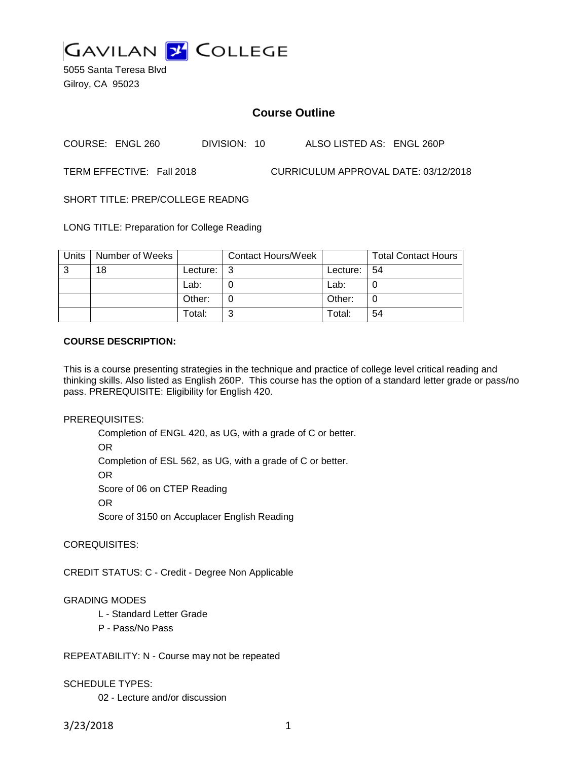

5055 Santa Teresa Blvd Gilroy, CA 95023

# **Course Outline**

COURSE: ENGL 260 DIVISION: 10 ALSO LISTED AS: ENGL 260P

TERM EFFECTIVE: Fall 2018 CURRICULUM APPROVAL DATE: 03/12/2018

SHORT TITLE: PREP/COLLEGE READNG

LONG TITLE: Preparation for College Reading

| Units | Number of Weeks |          | <b>Contact Hours/Week</b> |          | <b>Total Contact Hours</b> |
|-------|-----------------|----------|---------------------------|----------|----------------------------|
| 3     | 18              | Lecture: | l 3                       | Lecture: | $\vert 54$                 |
|       |                 | Lab:     |                           | Lab:     |                            |
|       |                 | Other:   |                           | Other:   |                            |
|       |                 | Total:   | ົ                         | Total:   | 54                         |

### **COURSE DESCRIPTION:**

This is a course presenting strategies in the technique and practice of college level critical reading and thinking skills. Also listed as English 260P. This course has the option of a standard letter grade or pass/no pass. PREREQUISITE: Eligibility for English 420.

PREREQUISITES:

Completion of ENGL 420, as UG, with a grade of C or better. OR

Completion of ESL 562, as UG, with a grade of C or better.

OR

Score of 06 on CTEP Reading

OR

Score of 3150 on Accuplacer English Reading

COREQUISITES:

CREDIT STATUS: C - Credit - Degree Non Applicable

### GRADING MODES

- L Standard Letter Grade
- P Pass/No Pass

REPEATABILITY: N - Course may not be repeated

## SCHEDULE TYPES:

02 - Lecture and/or discussion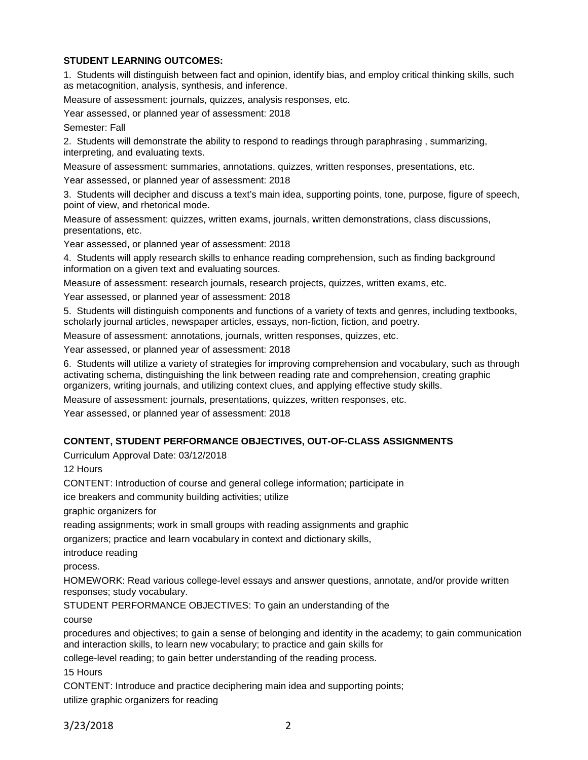## **STUDENT LEARNING OUTCOMES:**

1. Students will distinguish between fact and opinion, identify bias, and employ critical thinking skills, such as metacognition, analysis, synthesis, and inference.

Measure of assessment: journals, quizzes, analysis responses, etc.

Year assessed, or planned year of assessment: 2018

Semester: Fall

2. Students will demonstrate the ability to respond to readings through paraphrasing , summarizing, interpreting, and evaluating texts.

Measure of assessment: summaries, annotations, quizzes, written responses, presentations, etc.

Year assessed, or planned year of assessment: 2018

3. Students will decipher and discuss a text's main idea, supporting points, tone, purpose, figure of speech, point of view, and rhetorical mode.

Measure of assessment: quizzes, written exams, journals, written demonstrations, class discussions, presentations, etc.

Year assessed, or planned year of assessment: 2018

4. Students will apply research skills to enhance reading comprehension, such as finding background information on a given text and evaluating sources.

Measure of assessment: research journals, research projects, quizzes, written exams, etc.

Year assessed, or planned year of assessment: 2018

5. Students will distinguish components and functions of a variety of texts and genres, including textbooks, scholarly journal articles, newspaper articles, essays, non-fiction, fiction, and poetry.

Measure of assessment: annotations, journals, written responses, quizzes, etc.

Year assessed, or planned year of assessment: 2018

6. Students will utilize a variety of strategies for improving comprehension and vocabulary, such as through activating schema, distinguishing the link between reading rate and comprehension, creating graphic organizers, writing journals, and utilizing context clues, and applying effective study skills.

Measure of assessment: journals, presentations, quizzes, written responses, etc.

Year assessed, or planned year of assessment: 2018

### **CONTENT, STUDENT PERFORMANCE OBJECTIVES, OUT-OF-CLASS ASSIGNMENTS**

Curriculum Approval Date: 03/12/2018

12 Hours

CONTENT: Introduction of course and general college information; participate in

ice breakers and community building activities; utilize

graphic organizers for

reading assignments; work in small groups with reading assignments and graphic

organizers; practice and learn vocabulary in context and dictionary skills,

introduce reading

process.

HOMEWORK: Read various college-level essays and answer questions, annotate, and/or provide written responses; study vocabulary.

STUDENT PERFORMANCE OBJECTIVES: To gain an understanding of the

course

procedures and objectives; to gain a sense of belonging and identity in the academy; to gain communication and interaction skills, to learn new vocabulary; to practice and gain skills for

college-level reading; to gain better understanding of the reading process.

15 Hours

CONTENT: Introduce and practice deciphering main idea and supporting points; utilize graphic organizers for reading

3/23/2018 2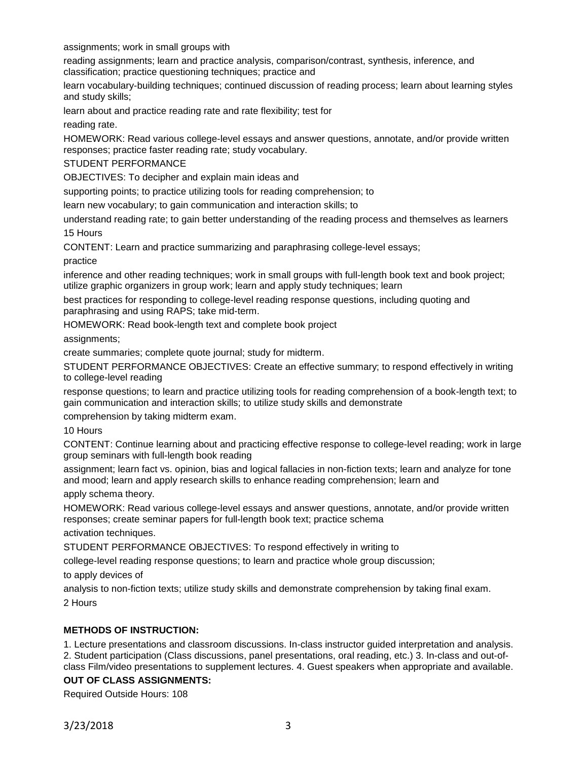assignments; work in small groups with

reading assignments; learn and practice analysis, comparison/contrast, synthesis, inference, and classification; practice questioning techniques; practice and

learn vocabulary-building techniques; continued discussion of reading process; learn about learning styles and study skills;

learn about and practice reading rate and rate flexibility; test for

reading rate.

HOMEWORK: Read various college-level essays and answer questions, annotate, and/or provide written responses; practice faster reading rate; study vocabulary.

#### STUDENT PERFORMANCE

OBJECTIVES: To decipher and explain main ideas and

supporting points; to practice utilizing tools for reading comprehension; to

learn new vocabulary; to gain communication and interaction skills; to

understand reading rate; to gain better understanding of the reading process and themselves as learners 15 Hours

CONTENT: Learn and practice summarizing and paraphrasing college-level essays;

practice

inference and other reading techniques; work in small groups with full-length book text and book project; utilize graphic organizers in group work; learn and apply study techniques; learn

best practices for responding to college-level reading response questions, including quoting and paraphrasing and using RAPS; take mid-term.

HOMEWORK: Read book-length text and complete book project

assignments;

create summaries; complete quote journal; study for midterm.

STUDENT PERFORMANCE OBJECTIVES: Create an effective summary; to respond effectively in writing to college-level reading

response questions; to learn and practice utilizing tools for reading comprehension of a book-length text; to gain communication and interaction skills; to utilize study skills and demonstrate

comprehension by taking midterm exam.

10 Hours

CONTENT: Continue learning about and practicing effective response to college-level reading; work in large group seminars with full-length book reading

assignment; learn fact vs. opinion, bias and logical fallacies in non-fiction texts; learn and analyze for tone and mood; learn and apply research skills to enhance reading comprehension; learn and apply schema theory.

HOMEWORK: Read various college-level essays and answer questions, annotate, and/or provide written responses; create seminar papers for full-length book text; practice schema

activation techniques.

STUDENT PERFORMANCE OBJECTIVES: To respond effectively in writing to

college-level reading response questions; to learn and practice whole group discussion;

to apply devices of

analysis to non-fiction texts; utilize study skills and demonstrate comprehension by taking final exam. 2 Hours

### **METHODS OF INSTRUCTION:**

1. Lecture presentations and classroom discussions. In-class instructor guided interpretation and analysis. 2. Student participation (Class discussions, panel presentations, oral reading, etc.) 3. In-class and out-of-

# class Film/video presentations to supplement lectures. 4. Guest speakers when appropriate and available.

## **OUT OF CLASS ASSIGNMENTS:**

Required Outside Hours: 108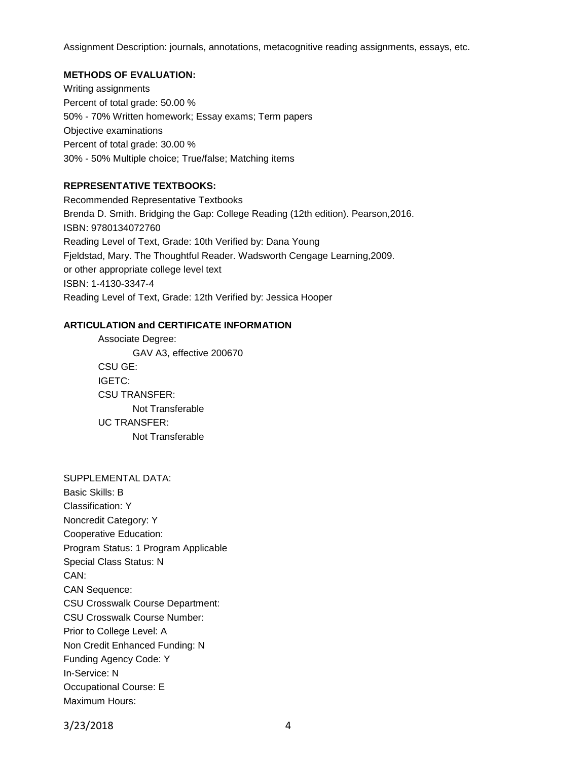Assignment Description: journals, annotations, metacognitive reading assignments, essays, etc.

#### **METHODS OF EVALUATION:**

Writing assignments Percent of total grade: 50.00 % 50% - 70% Written homework; Essay exams; Term papers Objective examinations Percent of total grade: 30.00 % 30% - 50% Multiple choice; True/false; Matching items

## **REPRESENTATIVE TEXTBOOKS:**

Recommended Representative Textbooks Brenda D. Smith. Bridging the Gap: College Reading (12th edition). Pearson,2016. ISBN: 9780134072760 Reading Level of Text, Grade: 10th Verified by: Dana Young Fjeldstad, Mary. The Thoughtful Reader. Wadsworth Cengage Learning,2009. or other appropriate college level text ISBN: 1-4130-3347-4 Reading Level of Text, Grade: 12th Verified by: Jessica Hooper

#### **ARTICULATION and CERTIFICATE INFORMATION**

Associate Degree: GAV A3, effective 200670 CSU GE: IGETC: CSU TRANSFER: Not Transferable UC TRANSFER: Not Transferable

#### SUPPLEMENTAL DATA:

Basic Skills: B Classification: Y Noncredit Category: Y Cooperative Education: Program Status: 1 Program Applicable Special Class Status: N CAN: CAN Sequence: CSU Crosswalk Course Department: CSU Crosswalk Course Number: Prior to College Level: A Non Credit Enhanced Funding: N Funding Agency Code: Y In-Service: N Occupational Course: E Maximum Hours:

3/23/2018 4